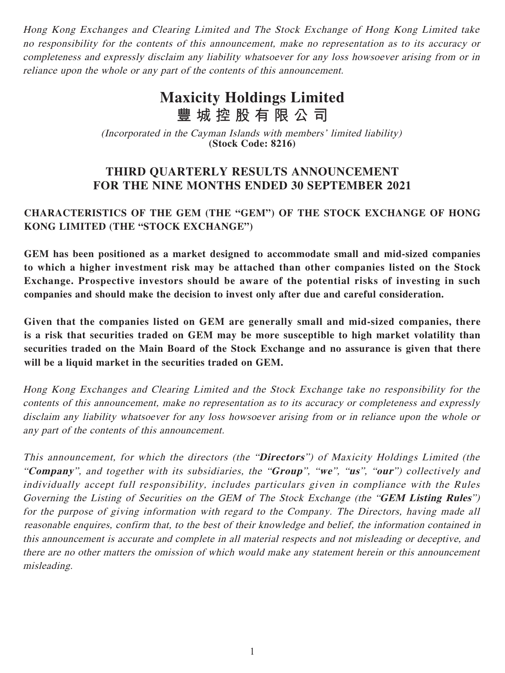Hong Kong Exchanges and Clearing Limited and The Stock Exchange of Hong Kong Limited take no responsibility for the contents of this announcement, make no representation as to its accuracy or completeness and expressly disclaim any liability whatsoever for any loss howsoever arising from or in reliance upon the whole or any part of the contents of this announcement.

# **Maxicity Holdings Limited 豐城控股有限公司**

(Incorporated in the Cayman Islands with members' limited liability) **(Stock Code: 8216)**

# **THIRD QUARTERLY RESULTS ANNOUNCEMENT FOR THE NINE MONTHS ENDED 30 SEPTEMBER 2021**

# **CHARACTERISTICS OF THE GEM (THE "GEM") OF THE STOCK EXCHANGE OF HONG KONG LIMITED (THE "STOCK EXCHANGE")**

**GEM has been positioned as a market designed to accommodate small and mid-sized companies to which a higher investment risk may be attached than other companies listed on the Stock Exchange. Prospective investors should be aware of the potential risks of investing in such companies and should make the decision to invest only after due and careful consideration.**

**Given that the companies listed on GEM are generally small and mid-sized companies, there is a risk that securities traded on GEM may be more susceptible to high market volatility than securities traded on the Main Board of the Stock Exchange and no assurance is given that there will be a liquid market in the securities traded on GEM.**

Hong Kong Exchanges and Clearing Limited and the Stock Exchange take no responsibility for the contents of this announcement, make no representation as to its accuracy or completeness and expressly disclaim any liability whatsoever for any loss howsoever arising from or in reliance upon the whole or any part of the contents of this announcement.

This announcement, for which the directors (the "**Directors**") of Maxicity Holdings Limited (the "**Company**", and together with its subsidiaries, the "**Group**", "**we**", "**us**", "**our**") collectively and individually accept full responsibility, includes particulars given in compliance with the Rules Governing the Listing of Securities on the GEM of The Stock Exchange (the "**GEM Listing Rules**") for the purpose of giving information with regard to the Company. The Directors, having made all reasonable enquires, confirm that, to the best of their knowledge and belief, the information contained in this announcement is accurate and complete in all material respects and not misleading or deceptive, and there are no other matters the omission of which would make any statement herein or this announcement misleading.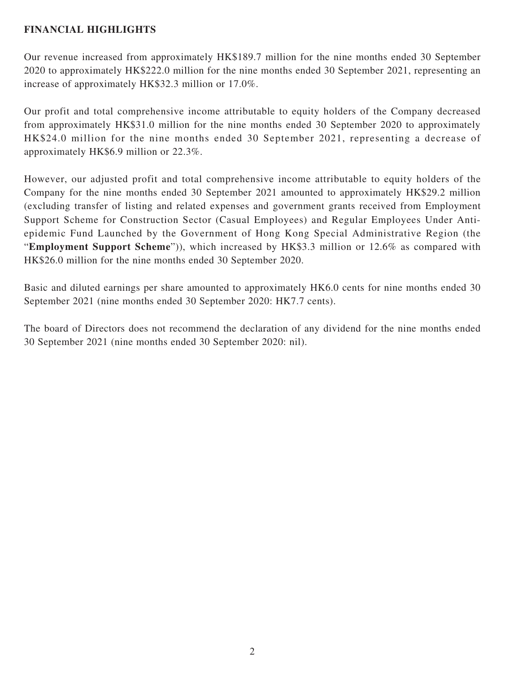## **FINANCIAL HIGHLIGHTS**

Our revenue increased from approximately HK\$189.7 million for the nine months ended 30 September 2020 to approximately HK\$222.0 million for the nine months ended 30 September 2021, representing an increase of approximately HK\$32.3 million or 17.0%.

Our profit and total comprehensive income attributable to equity holders of the Company decreased from approximately HK\$31.0 million for the nine months ended 30 September 2020 to approximately HK\$24.0 million for the nine months ended 30 September 2021, representing a decrease of approximately HK\$6.9 million or 22.3%.

However, our adjusted profit and total comprehensive income attributable to equity holders of the Company for the nine months ended 30 September 2021 amounted to approximately HK\$29.2 million (excluding transfer of listing and related expenses and government grants received from Employment Support Scheme for Construction Sector (Casual Employees) and Regular Employees Under Antiepidemic Fund Launched by the Government of Hong Kong Special Administrative Region (the "**Employment Support Scheme**")), which increased by HK\$3.3 million or 12.6% as compared with HK\$26.0 million for the nine months ended 30 September 2020.

Basic and diluted earnings per share amounted to approximately HK6.0 cents for nine months ended 30 September 2021 (nine months ended 30 September 2020: HK7.7 cents).

The board of Directors does not recommend the declaration of any dividend for the nine months ended 30 September 2021 (nine months ended 30 September 2020: nil).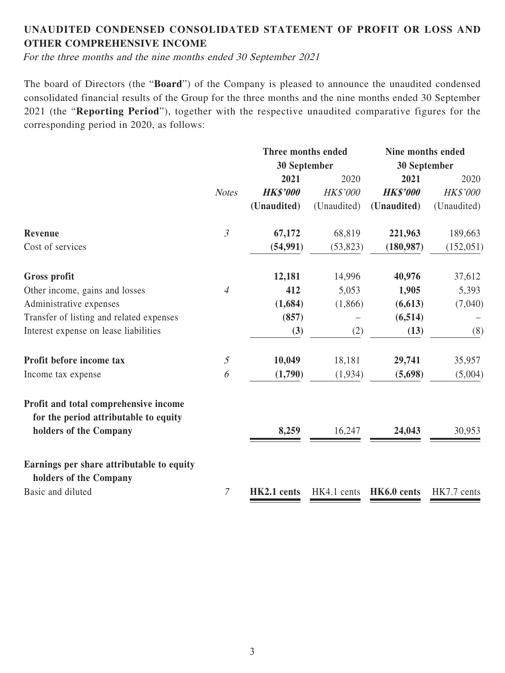# **UNAUDITED CONDENSED CONSOLIDATED STATEMENT OF PROFIT OR LOSS AND OTHER COMPREHENSIVE INCOME**

For the three months and the nine months ended 30 September 2021

The board of Directors (the "**Board**") of the Company is pleased to announce the unaudited condensed consolidated financial results of the Group for the three months and the nine months ended 30 September 2021 (the "**Reporting Period**"), together with the respective unaudited comparative figures for the corresponding period in 2020, as follows:

|                                                                                |                | <b>Three months ended</b> |             | Nine months ended |             |
|--------------------------------------------------------------------------------|----------------|---------------------------|-------------|-------------------|-------------|
|                                                                                |                | 30 September              |             | 30 September      |             |
|                                                                                |                | 2021                      | 2020        | 2021              | 2020        |
|                                                                                | <b>Notes</b>   | <b>HK\$'000</b>           | HK\$'000    | <b>HK\$'000</b>   | HK\$'000    |
|                                                                                |                | (Unaudited)               | (Unaudited) | (Unaudited)       | (Unaudited) |
| Revenue                                                                        | $\mathfrak{Z}$ | 67,172                    | 68,819      | 221,963           | 189,663     |
| Cost of services                                                               |                | (54, 991)                 | (53, 823)   | (180, 987)        | (152, 051)  |
| <b>Gross profit</b>                                                            |                | 12,181                    | 14,996      | 40,976            | 37,612      |
| Other income, gains and losses                                                 | $\overline{4}$ | 412                       | 5,053       | 1,905             | 5,393       |
| Administrative expenses                                                        |                | (1,684)                   | (1,866)     | (6, 613)          | (7,040)     |
| Transfer of listing and related expenses                                       |                | (857)                     |             | (6, 514)          |             |
| Interest expense on lease liabilities                                          |                | (3)                       | (2)         | (13)              | (8)         |
| Profit before income tax                                                       | $\mathfrak{I}$ | 10,049                    | 18,181      | 29,741            | 35,957      |
| Income tax expense                                                             | 6              | (1,790)                   | (1,934)     | (5,698)           | (5,004)     |
| Profit and total comprehensive income<br>for the period attributable to equity |                |                           |             |                   |             |
| holders of the Company                                                         |                | 8,259                     | 16,247      | 24,043            | 30,953      |
| Earnings per share attributable to equity<br>holders of the Company            |                |                           |             |                   |             |
| Basic and diluted                                                              | $\mathcal{I}$  | HK2.1 cents               | HK4.1 cents | HK6.0 cents       | HK7.7 cents |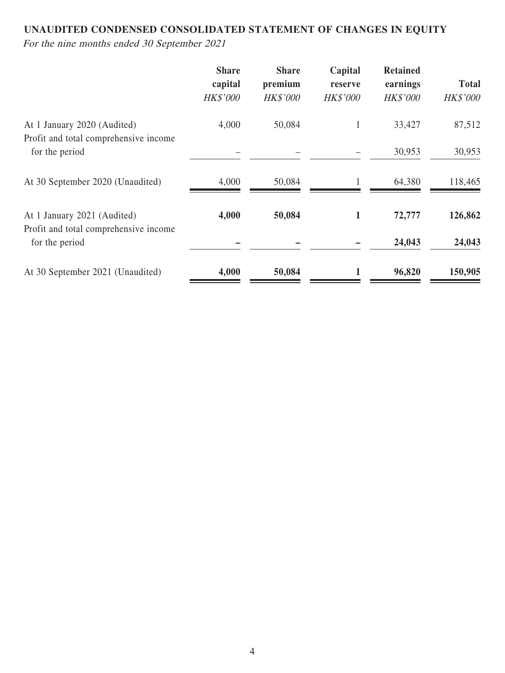# **UNAUDITED CONDENSED CONSOLIDATED STATEMENT OF CHANGES IN EQUITY**

For the nine months ended 30 September 2021

|                                                                      | <b>Share</b><br>capital<br><b>HK\$'000</b> | <b>Share</b><br>premium<br><b>HK\$'000</b> | Capital<br>reserve<br><b>HK\$'000</b> | <b>Retained</b><br>earnings<br><b>HK\$'000</b> | <b>Total</b><br><b>HK\$'000</b> |
|----------------------------------------------------------------------|--------------------------------------------|--------------------------------------------|---------------------------------------|------------------------------------------------|---------------------------------|
| At 1 January 2020 (Audited)                                          | 4,000                                      | 50,084                                     | 1                                     | 33,427                                         | 87,512                          |
| Profit and total comprehensive income<br>for the period              |                                            |                                            |                                       | 30,953                                         | 30,953                          |
| At 30 September 2020 (Unaudited)                                     | 4,000                                      | 50,084                                     |                                       | 64,380                                         | 118,465                         |
| At 1 January 2021 (Audited)<br>Profit and total comprehensive income | 4,000                                      | 50,084                                     | 1                                     | 72,777                                         | 126,862                         |
| for the period                                                       |                                            |                                            |                                       | 24,043                                         | 24,043                          |
| At 30 September 2021 (Unaudited)                                     | 4,000                                      | 50,084                                     |                                       | 96,820                                         | 150,905                         |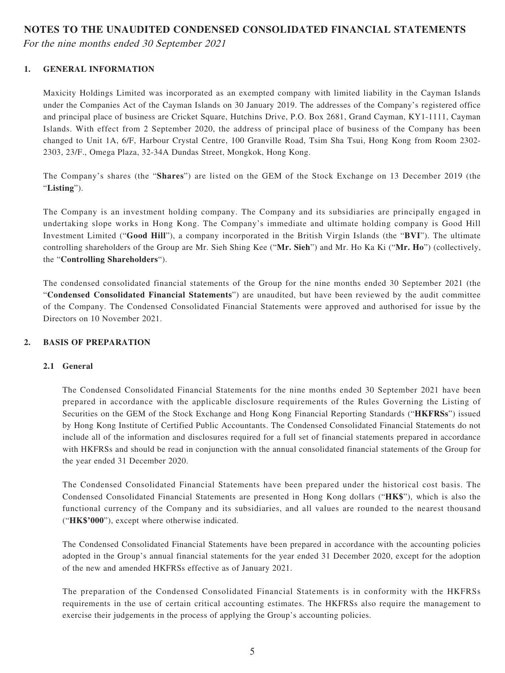#### **NOTES TO THE UNAUDITED CONDENSED CONSOLIDATED FINANCIAL STATEMENTS**

For the nine months ended 30 September 2021

#### **1. GENERAL INFORMATION**

Maxicity Holdings Limited was incorporated as an exempted company with limited liability in the Cayman Islands under the Companies Act of the Cayman Islands on 30 January 2019. The addresses of the Company's registered office and principal place of business are Cricket Square, Hutchins Drive, P.O. Box 2681, Grand Cayman, KY1-1111, Cayman Islands. With effect from 2 September 2020, the address of principal place of business of the Company has been changed to Unit 1A, 6/F, Harbour Crystal Centre, 100 Granville Road, Tsim Sha Tsui, Hong Kong from Room 2302- 2303, 23/F., Omega Plaza, 32-34A Dundas Street, Mongkok, Hong Kong.

The Company's shares (the "**Shares**") are listed on the GEM of the Stock Exchange on 13 December 2019 (the "**Listing**").

The Company is an investment holding company. The Company and its subsidiaries are principally engaged in undertaking slope works in Hong Kong. The Company's immediate and ultimate holding company is Good Hill Investment Limited ("**Good Hill**"), a company incorporated in the British Virgin Islands (the "**BVI**"). The ultimate controlling shareholders of the Group are Mr. Sieh Shing Kee ("**Mr. Sieh**") and Mr. Ho Ka Ki ("**Mr. Ho**") (collectively, the "**Controlling Shareholders**").

The condensed consolidated financial statements of the Group for the nine months ended 30 September 2021 (the "**Condensed Consolidated Financial Statements**") are unaudited, but have been reviewed by the audit committee of the Company. The Condensed Consolidated Financial Statements were approved and authorised for issue by the Directors on 10 November 2021.

#### **2. BASIS OF PREPARATION**

#### **2.1 General**

The Condensed Consolidated Financial Statements for the nine months ended 30 September 2021 have been prepared in accordance with the applicable disclosure requirements of the Rules Governing the Listing of Securities on the GEM of the Stock Exchange and Hong Kong Financial Reporting Standards ("**HKFRSs**") issued by Hong Kong Institute of Certified Public Accountants. The Condensed Consolidated Financial Statements do not include all of the information and disclosures required for a full set of financial statements prepared in accordance with HKFRSs and should be read in conjunction with the annual consolidated financial statements of the Group for the year ended 31 December 2020.

The Condensed Consolidated Financial Statements have been prepared under the historical cost basis. The Condensed Consolidated Financial Statements are presented in Hong Kong dollars ("**HK\$**"), which is also the functional currency of the Company and its subsidiaries, and all values are rounded to the nearest thousand ("**HK\$'000**"), except where otherwise indicated.

The Condensed Consolidated Financial Statements have been prepared in accordance with the accounting policies adopted in the Group's annual financial statements for the year ended 31 December 2020, except for the adoption of the new and amended HKFRSs effective as of January 2021.

The preparation of the Condensed Consolidated Financial Statements is in conformity with the HKFRSs requirements in the use of certain critical accounting estimates. The HKFRSs also require the management to exercise their judgements in the process of applying the Group's accounting policies.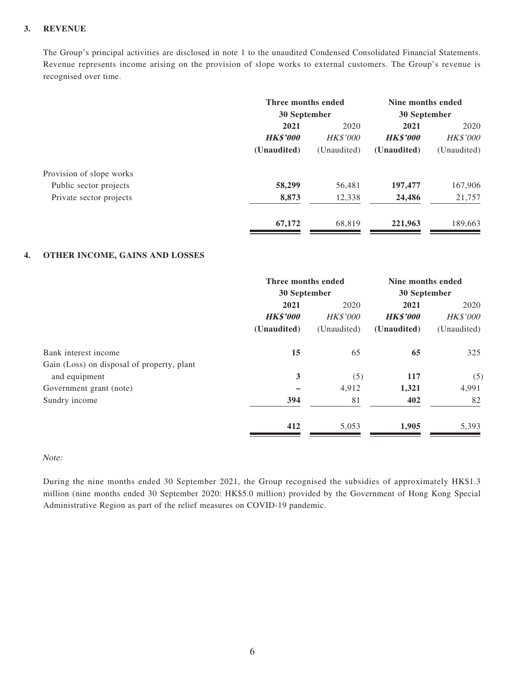#### **3. REVENUE**

The Group's principal activities are disclosed in note 1 to the unaudited Condensed Consolidated Financial Statements. Revenue represents income arising on the provision of slope works to external customers. The Group's revenue is recognised over time.

|                          | Three months ended<br>30 September |                 | Nine months ended<br>30 September |             |  |
|--------------------------|------------------------------------|-----------------|-----------------------------------|-------------|--|
|                          | 2021                               | 2020            | 2021                              | 2020        |  |
|                          | <b>HK\$'000</b>                    | <b>HK\$'000</b> | <b>HK\$'000</b>                   | HK\$'000    |  |
|                          | (Unaudited)                        | (Unaudited)     | (Unaudited)                       | (Unaudited) |  |
| Provision of slope works |                                    |                 |                                   |             |  |
| Public sector projects   | 58,299                             | 56,481          | 197,477                           | 167,906     |  |
| Private sector projects  | 8,873                              | 12,338          | 24,486                            | 21,757      |  |
|                          | 67,172                             | 68.819          | 221,963                           | 189,663     |  |

#### **4. OTHER INCOME, GAINS AND LOSSES**

|                                            | Three months ended<br>30 September |                 | Nine months ended<br>30 September |                 |
|--------------------------------------------|------------------------------------|-----------------|-----------------------------------|-----------------|
|                                            |                                    |                 |                                   |                 |
|                                            | 2021                               | 2020            | 2021                              | 2020            |
|                                            | <b>HK\$'000</b>                    | <b>HK\$'000</b> | <b>HK\$'000</b>                   | <b>HK\$'000</b> |
|                                            | (Unaudited)                        | (Unaudited)     | (Unaudited)                       | (Unaudited)     |
| Bank interest income                       | 15                                 | 65              | 65                                | 325             |
| Gain (Loss) on disposal of property, plant |                                    |                 |                                   |                 |
| and equipment                              | 3                                  | (5)             | 117                               | (5)             |
| Government grant (note)                    |                                    | 4,912           | 1,321                             | 4,991           |
| Sundry income                              | 394                                | 81              | 402                               | 82              |
|                                            | 412                                | 5,053           | 1,905                             | 5,393           |
|                                            |                                    |                 |                                   |                 |

#### Note:

During the nine months ended 30 September 2021, the Group recognised the subsidies of approximately HK\$1.3 million (nine months ended 30 September 2020: HK\$5.0 million) provided by the Government of Hong Kong Special Administrative Region as part of the relief measures on COVID-19 pandemic.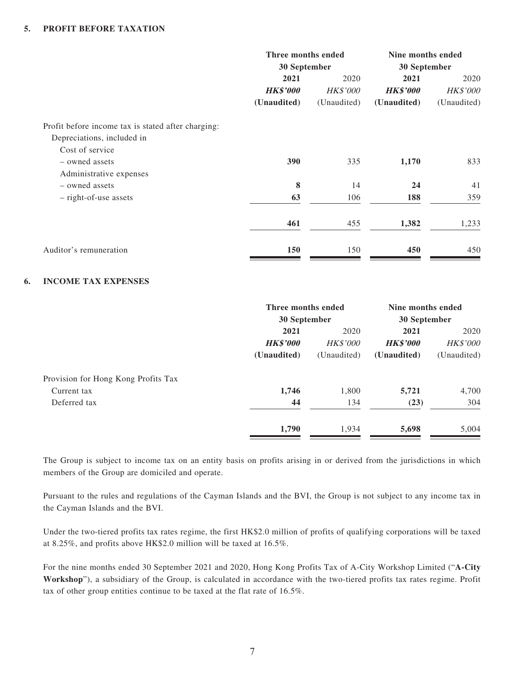|                                                    | Three months ended<br>30 September |                 | Nine months ended<br>30 September |                 |  |
|----------------------------------------------------|------------------------------------|-----------------|-----------------------------------|-----------------|--|
|                                                    | 2021                               | 2020            | 2021                              | 2020            |  |
|                                                    | <b>HK\$'000</b>                    | <b>HK\$'000</b> | <b>HK\$'000</b>                   | <b>HK\$'000</b> |  |
|                                                    | (Unaudited)                        | (Unaudited)     | (Unaudited)                       | (Unaudited)     |  |
| Profit before income tax is stated after charging: |                                    |                 |                                   |                 |  |
| Depreciations, included in                         |                                    |                 |                                   |                 |  |
| Cost of service                                    |                                    |                 |                                   |                 |  |
| - owned assets                                     | 390                                | 335             | 1,170                             | 833             |  |
| Administrative expenses                            |                                    |                 |                                   |                 |  |
| - owned assets                                     | 8                                  | 14              | 24                                | 41              |  |
| - right-of-use assets                              | 63                                 | 106             | 188                               | 359             |  |
|                                                    | 461                                | 455             | 1,382                             | 1,233           |  |
| Auditor's remuneration                             | 150                                | 150             | 450                               | 450             |  |

#### **6. INCOME TAX EXPENSES**

| Three months ended |                 | Nine months ended |                 |
|--------------------|-----------------|-------------------|-----------------|
|                    |                 | 30 September      |                 |
| 2021               | 2020            | 2021              | 2020            |
| <b>HK\$'000</b>    | <b>HK\$'000</b> | <b>HK\$'000</b>   | <b>HK\$'000</b> |
| (Unaudited)        | (Unaudited)     | (Unaudited)       | (Unaudited)     |
|                    |                 |                   |                 |
| 1,746              | 1,800           | 5,721             | 4,700           |
| 44                 | 134             | (23)              | 304             |
| 1,790              | 1,934           | 5,698             | 5,004           |
|                    |                 | 30 September      |                 |

The Group is subject to income tax on an entity basis on profits arising in or derived from the jurisdictions in which members of the Group are domiciled and operate.

Pursuant to the rules and regulations of the Cayman Islands and the BVI, the Group is not subject to any income tax in the Cayman Islands and the BVI.

Under the two-tiered profits tax rates regime, the first HK\$2.0 million of profits of qualifying corporations will be taxed at 8.25%, and profits above HK\$2.0 million will be taxed at 16.5%.

For the nine months ended 30 September 2021 and 2020, Hong Kong Profits Tax of A-City Workshop Limited ("**A-City Workshop**"), a subsidiary of the Group, is calculated in accordance with the two-tiered profits tax rates regime. Profit tax of other group entities continue to be taxed at the flat rate of 16.5%.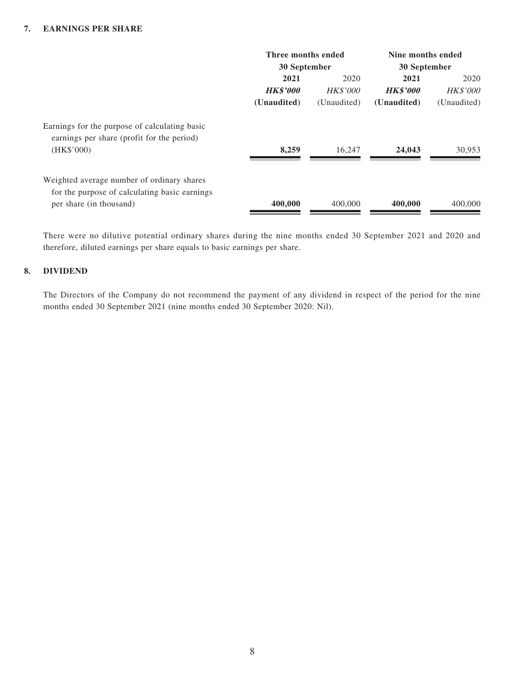#### **7. EARNINGS PER SHARE**

|                                                                                                           | Three months ended<br>30 September |                 | Nine months ended<br>30 September |                 |
|-----------------------------------------------------------------------------------------------------------|------------------------------------|-----------------|-----------------------------------|-----------------|
|                                                                                                           | 2021                               | 2020            | 2021<br>2020                      |                 |
|                                                                                                           | <b>HK\$'000</b>                    | <i>HK\$'000</i> | <b>HK\$'000</b>                   | <b>HK\$'000</b> |
|                                                                                                           | (Unaudited)                        | (Unaudited)     | (Unaudited)                       | (Unaudited)     |
| Earnings for the purpose of calculating basic<br>earnings per share (profit for the period)<br>(HK\$'000) | 8,259                              | 16.247          | 24,043                            | 30,953          |
|                                                                                                           |                                    |                 |                                   |                 |
| Weighted average number of ordinary shares                                                                |                                    |                 |                                   |                 |
| for the purpose of calculating basic earnings                                                             |                                    |                 |                                   |                 |
| per share (in thousand)                                                                                   | 400,000                            | 400,000         | 400,000                           | 400,000         |

There were no dilutive potential ordinary shares during the nine months ended 30 September 2021 and 2020 and therefore, diluted earnings per share equals to basic earnings per share.

#### **8. DIVIDEND**

The Directors of the Company do not recommend the payment of any dividend in respect of the period for the nine months ended 30 September 2021 (nine months ended 30 September 2020: Nil).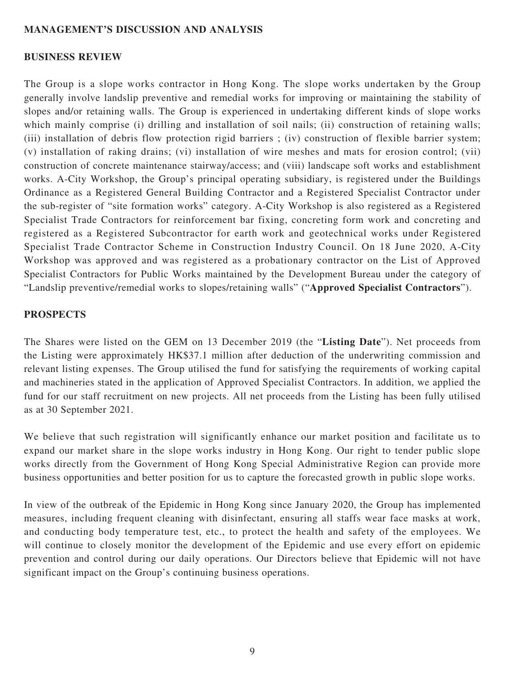#### **MANAGEMENT'S DISCUSSION AND ANALYSIS**

#### **BUSINESS REVIEW**

The Group is a slope works contractor in Hong Kong. The slope works undertaken by the Group generally involve landslip preventive and remedial works for improving or maintaining the stability of slopes and/or retaining walls. The Group is experienced in undertaking different kinds of slope works which mainly comprise (i) drilling and installation of soil nails; (ii) construction of retaining walls; (iii) installation of debris flow protection rigid barriers ; (iv) construction of flexible barrier system; (v) installation of raking drains; (vi) installation of wire meshes and mats for erosion control; (vii) construction of concrete maintenance stairway/access; and (viii) landscape soft works and establishment works. A-City Workshop, the Group's principal operating subsidiary, is registered under the Buildings Ordinance as a Registered General Building Contractor and a Registered Specialist Contractor under the sub-register of "site formation works" category. A-City Workshop is also registered as a Registered Specialist Trade Contractors for reinforcement bar fixing, concreting form work and concreting and registered as a Registered Subcontractor for earth work and geotechnical works under Registered Specialist Trade Contractor Scheme in Construction Industry Council. On 18 June 2020, A-City Workshop was approved and was registered as a probationary contractor on the List of Approved Specialist Contractors for Public Works maintained by the Development Bureau under the category of "Landslip preventive/remedial works to slopes/retaining walls" ("**Approved Specialist Contractors**").

#### **PROSPECTS**

The Shares were listed on the GEM on 13 December 2019 (the "**Listing Date**"). Net proceeds from the Listing were approximately HK\$37.1 million after deduction of the underwriting commission and relevant listing expenses. The Group utilised the fund for satisfying the requirements of working capital and machineries stated in the application of Approved Specialist Contractors. In addition, we applied the fund for our staff recruitment on new projects. All net proceeds from the Listing has been fully utilised as at 30 September 2021.

We believe that such registration will significantly enhance our market position and facilitate us to expand our market share in the slope works industry in Hong Kong. Our right to tender public slope works directly from the Government of Hong Kong Special Administrative Region can provide more business opportunities and better position for us to capture the forecasted growth in public slope works.

In view of the outbreak of the Epidemic in Hong Kong since January 2020, the Group has implemented measures, including frequent cleaning with disinfectant, ensuring all staffs wear face masks at work, and conducting body temperature test, etc., to protect the health and safety of the employees. We will continue to closely monitor the development of the Epidemic and use every effort on epidemic prevention and control during our daily operations. Our Directors believe that Epidemic will not have significant impact on the Group's continuing business operations.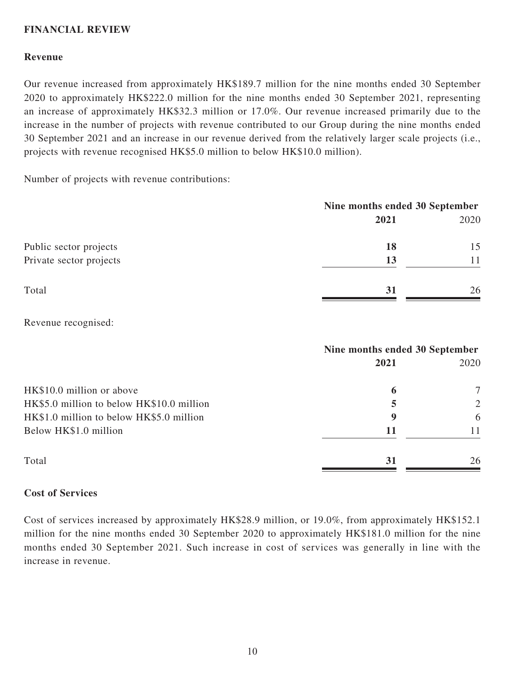### **FINANCIAL REVIEW**

#### **Revenue**

Our revenue increased from approximately HK\$189.7 million for the nine months ended 30 September 2020 to approximately HK\$222.0 million for the nine months ended 30 September 2021, representing an increase of approximately HK\$32.3 million or 17.0%. Our revenue increased primarily due to the increase in the number of projects with revenue contributed to our Group during the nine months ended 30 September 2021 and an increase in our revenue derived from the relatively larger scale projects (i.e., projects with revenue recognised HK\$5.0 million to below HK\$10.0 million).

Number of projects with revenue contributions:

|                         | Nine months ended 30 September |      |  |
|-------------------------|--------------------------------|------|--|
|                         | 2021                           | 2020 |  |
| Public sector projects  | 18                             | 15   |  |
| Private sector projects | 13                             |      |  |
| Total                   | 31                             | 26   |  |

Revenue recognised:

|                                           | Nine months ended 30 September |      |  |
|-------------------------------------------|--------------------------------|------|--|
|                                           | 2021                           | 2020 |  |
| HK\$10.0 million or above                 | 6                              | 7    |  |
| HK\$5.0 million to below HK\$10.0 million | 5                              | 2    |  |
| HK\$1.0 million to below HK\$5.0 million  | 9                              | 6    |  |
| Below HK\$1.0 million                     | 11                             | 11   |  |
| Total                                     | 31                             | 26   |  |

#### **Cost of Services**

Cost of services increased by approximately HK\$28.9 million, or 19.0%, from approximately HK\$152.1 million for the nine months ended 30 September 2020 to approximately HK\$181.0 million for the nine months ended 30 September 2021. Such increase in cost of services was generally in line with the increase in revenue.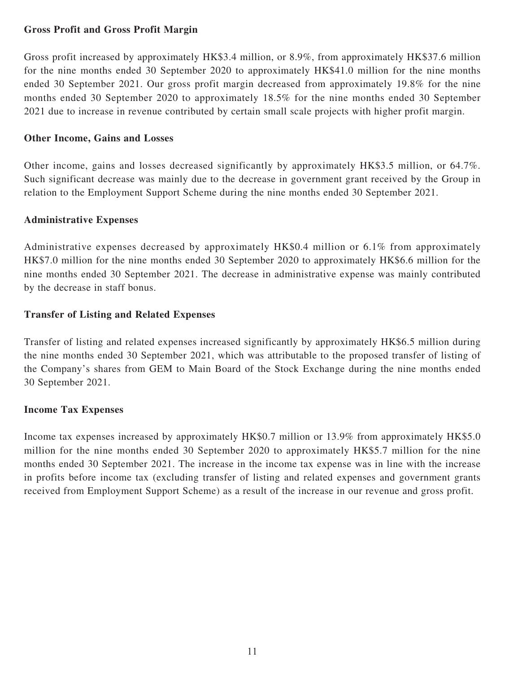#### **Gross Profit and Gross Profit Margin**

Gross profit increased by approximately HK\$3.4 million, or 8.9%, from approximately HK\$37.6 million for the nine months ended 30 September 2020 to approximately HK\$41.0 million for the nine months ended 30 September 2021. Our gross profit margin decreased from approximately 19.8% for the nine months ended 30 September 2020 to approximately 18.5% for the nine months ended 30 September 2021 due to increase in revenue contributed by certain small scale projects with higher profit margin.

#### **Other Income, Gains and Losses**

Other income, gains and losses decreased significantly by approximately HK\$3.5 million, or 64.7%. Such significant decrease was mainly due to the decrease in government grant received by the Group in relation to the Employment Support Scheme during the nine months ended 30 September 2021.

### **Administrative Expenses**

Administrative expenses decreased by approximately HK\$0.4 million or 6.1% from approximately HK\$7.0 million for the nine months ended 30 September 2020 to approximately HK\$6.6 million for the nine months ended 30 September 2021. The decrease in administrative expense was mainly contributed by the decrease in staff bonus.

### **Transfer of Listing and Related Expenses**

Transfer of listing and related expenses increased significantly by approximately HK\$6.5 million during the nine months ended 30 September 2021, which was attributable to the proposed transfer of listing of the Company's shares from GEM to Main Board of the Stock Exchange during the nine months ended 30 September 2021.

#### **Income Tax Expenses**

Income tax expenses increased by approximately HK\$0.7 million or 13.9% from approximately HK\$5.0 million for the nine months ended 30 September 2020 to approximately HK\$5.7 million for the nine months ended 30 September 2021. The increase in the income tax expense was in line with the increase in profits before income tax (excluding transfer of listing and related expenses and government grants received from Employment Support Scheme) as a result of the increase in our revenue and gross profit.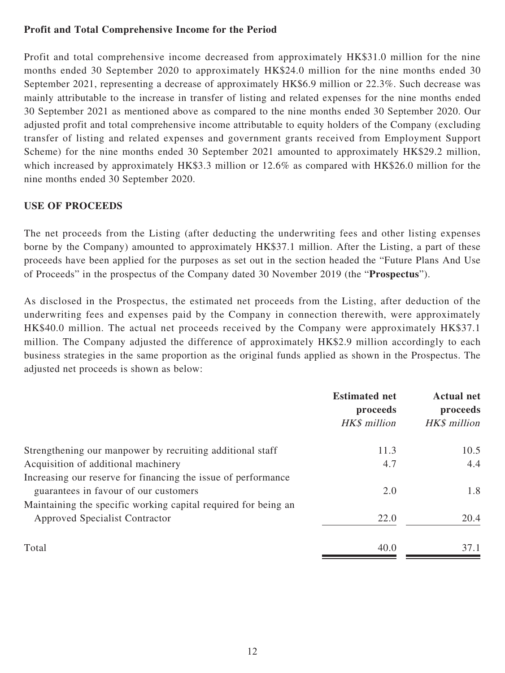### **Profit and Total Comprehensive Income for the Period**

Profit and total comprehensive income decreased from approximately HK\$31.0 million for the nine months ended 30 September 2020 to approximately HK\$24.0 million for the nine months ended 30 September 2021, representing a decrease of approximately HK\$6.9 million or 22.3%. Such decrease was mainly attributable to the increase in transfer of listing and related expenses for the nine months ended 30 September 2021 as mentioned above as compared to the nine months ended 30 September 2020. Our adjusted profit and total comprehensive income attributable to equity holders of the Company (excluding transfer of listing and related expenses and government grants received from Employment Support Scheme) for the nine months ended 30 September 2021 amounted to approximately HK\$29.2 million, which increased by approximately HK\$3.3 million or 12.6% as compared with HK\$26.0 million for the nine months ended 30 September 2020.

### **USE OF PROCEEDS**

The net proceeds from the Listing (after deducting the underwriting fees and other listing expenses borne by the Company) amounted to approximately HK\$37.1 million. After the Listing, a part of these proceeds have been applied for the purposes as set out in the section headed the "Future Plans And Use of Proceeds" in the prospectus of the Company dated 30 November 2019 (the "**Prospectus**").

As disclosed in the Prospectus, the estimated net proceeds from the Listing, after deduction of the underwriting fees and expenses paid by the Company in connection therewith, were approximately HK\$40.0 million. The actual net proceeds received by the Company were approximately HK\$37.1 million. The Company adjusted the difference of approximately HK\$2.9 million accordingly to each business strategies in the same proportion as the original funds applied as shown in the Prospectus. The adjusted net proceeds is shown as below:

|                                                                | <b>Estimated net</b><br>proceeds<br>HK\$ million | <b>Actual net</b><br>proceeds<br>HK\$ million |
|----------------------------------------------------------------|--------------------------------------------------|-----------------------------------------------|
|                                                                |                                                  |                                               |
| Strengthening our manpower by recruiting additional staff      | 11.3                                             | 10.5                                          |
| Acquisition of additional machinery                            | 4.7                                              | 4.4                                           |
| Increasing our reserve for financing the issue of performance  |                                                  |                                               |
| guarantees in favour of our customers                          | 2.0                                              | 1.8                                           |
| Maintaining the specific working capital required for being an |                                                  |                                               |
| Approved Specialist Contractor                                 | 22.0                                             | 20.4                                          |
| Total                                                          | 40.0                                             | 37.1                                          |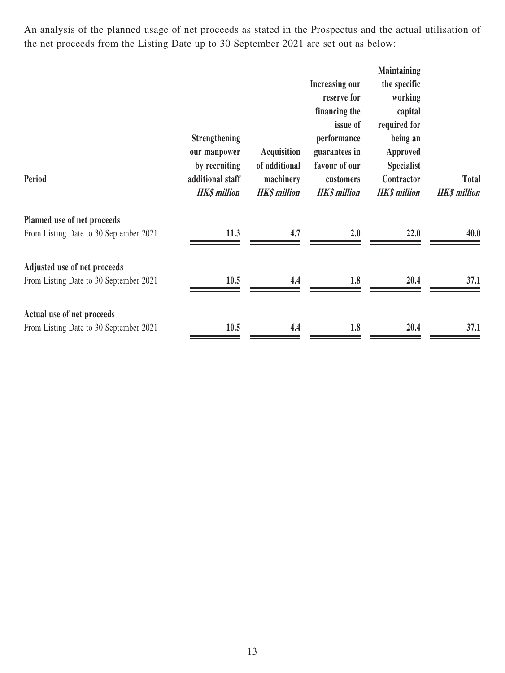An analysis of the planned usage of net proceeds as stated in the Prospectus and the actual utilisation of the net proceeds from the Listing Date up to 30 September 2021 are set out as below:

|                                                                        | <b>Strengthening</b><br>our manpower                     | <b>Acquisition</b>                                | <b>Increasing our</b><br>reserve for<br>financing the<br>issue of<br>performance<br>guarantees in | <b>Maintaining</b><br>the specific<br>working<br>capital<br>required for<br>being an<br>Approved |                              |
|------------------------------------------------------------------------|----------------------------------------------------------|---------------------------------------------------|---------------------------------------------------------------------------------------------------|--------------------------------------------------------------------------------------------------|------------------------------|
| Period                                                                 | by recruiting<br>additional staff<br><b>HK\$</b> million | of additional<br>machinery<br><b>HK\$</b> million | favour of our<br>customers<br><b>HK\$</b> million                                                 | <b>Specialist</b><br>Contractor<br><b>HK\$</b> million                                           | Total<br><b>HK\$</b> million |
| Planned use of net proceeds<br>From Listing Date to 30 September 2021  | 11.3                                                     | 4.7                                               | 2.0                                                                                               | 22.0                                                                                             | 40.0                         |
| Adjusted use of net proceeds<br>From Listing Date to 30 September 2021 | 10.5                                                     | 4.4                                               | 1.8                                                                                               | 20.4                                                                                             | 37.1                         |
| Actual use of net proceeds<br>From Listing Date to 30 September 2021   | 10.5                                                     | 4.4                                               | 1.8                                                                                               | 20.4                                                                                             | 37.1                         |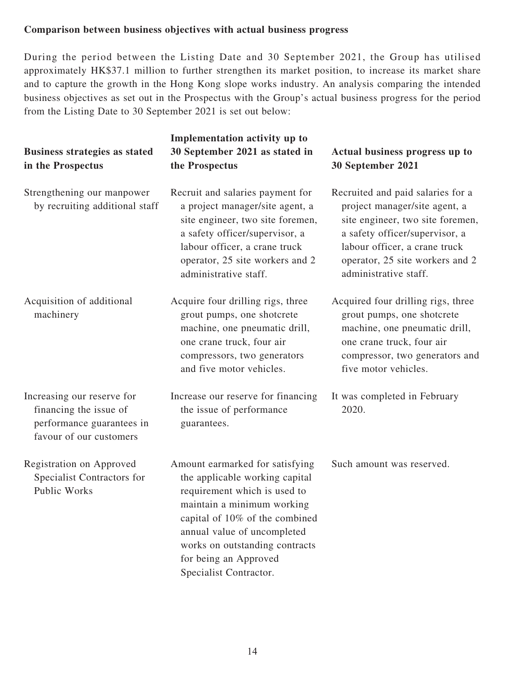### **Comparison between business objectives with actual business progress**

During the period between the Listing Date and 30 September 2021, the Group has utilised approximately HK\$37.1 million to further strengthen its market position, to increase its market share and to capture the growth in the Hong Kong slope works industry. An analysis comparing the intended business objectives as set out in the Prospectus with the Group's actual business progress for the period from the Listing Date to 30 September 2021 is set out below:

| <b>Business strategies as stated</b><br>in the Prospectus                                                    | Implementation activity up to<br>30 September 2021 as stated in<br>the Prospectus                                                                                                                                                                                                     | Actual business progress up to<br>30 September 2021                                                                                                                                                                                   |
|--------------------------------------------------------------------------------------------------------------|---------------------------------------------------------------------------------------------------------------------------------------------------------------------------------------------------------------------------------------------------------------------------------------|---------------------------------------------------------------------------------------------------------------------------------------------------------------------------------------------------------------------------------------|
| Strengthening our manpower<br>by recruiting additional staff                                                 | Recruit and salaries payment for<br>a project manager/site agent, a<br>site engineer, two site foremen,<br>a safety officer/supervisor, a<br>labour officer, a crane truck<br>operator, 25 site workers and 2<br>administrative staff.                                                | Recruited and paid salaries for a<br>project manager/site agent, a<br>site engineer, two site foremen,<br>a safety officer/supervisor, a<br>labour officer, a crane truck<br>operator, 25 site workers and 2<br>administrative staff. |
| Acquisition of additional<br>machinery                                                                       | Acquire four drilling rigs, three<br>grout pumps, one shotcrete<br>machine, one pneumatic drill,<br>one crane truck, four air<br>compressors, two generators<br>and five motor vehicles.                                                                                              | Acquired four drilling rigs, three<br>grout pumps, one shotcrete<br>machine, one pneumatic drill,<br>one crane truck, four air<br>compressor, two generators and<br>five motor vehicles.                                              |
| Increasing our reserve for<br>financing the issue of<br>performance guarantees in<br>favour of our customers | Increase our reserve for financing<br>the issue of performance<br>guarantees.                                                                                                                                                                                                         | It was completed in February<br>2020.                                                                                                                                                                                                 |
| Registration on Approved<br>Specialist Contractors for<br><b>Public Works</b>                                | Amount earmarked for satisfying<br>the applicable working capital<br>requirement which is used to<br>maintain a minimum working<br>capital of 10% of the combined<br>annual value of uncompleted<br>works on outstanding contracts<br>for being an Approved<br>Specialist Contractor. | Such amount was reserved.                                                                                                                                                                                                             |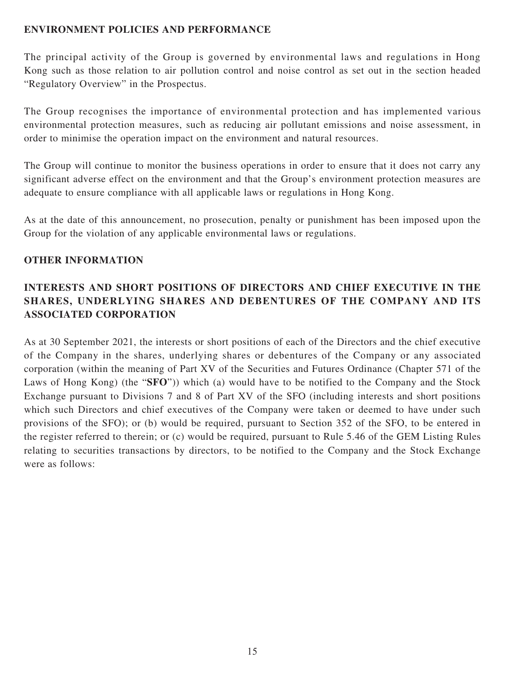### **ENVIRONMENT POLICIES AND PERFORMANCE**

The principal activity of the Group is governed by environmental laws and regulations in Hong Kong such as those relation to air pollution control and noise control as set out in the section headed "Regulatory Overview" in the Prospectus.

The Group recognises the importance of environmental protection and has implemented various environmental protection measures, such as reducing air pollutant emissions and noise assessment, in order to minimise the operation impact on the environment and natural resources.

The Group will continue to monitor the business operations in order to ensure that it does not carry any significant adverse effect on the environment and that the Group's environment protection measures are adequate to ensure compliance with all applicable laws or regulations in Hong Kong.

As at the date of this announcement, no prosecution, penalty or punishment has been imposed upon the Group for the violation of any applicable environmental laws or regulations.

#### **OTHER INFORMATION**

# **INTERESTS AND SHORT POSITIONS OF DIRECTORS AND CHIEF EXECUTIVE IN THE SHARES, UNDERLYING SHARES AND DEBENTURES OF THE COMPANY AND ITS ASSOCIATED CORPORATION**

As at 30 September 2021, the interests or short positions of each of the Directors and the chief executive of the Company in the shares, underlying shares or debentures of the Company or any associated corporation (within the meaning of Part XV of the Securities and Futures Ordinance (Chapter 571 of the Laws of Hong Kong) (the "**SFO**")) which (a) would have to be notified to the Company and the Stock Exchange pursuant to Divisions 7 and 8 of Part XV of the SFO (including interests and short positions which such Directors and chief executives of the Company were taken or deemed to have under such provisions of the SFO); or (b) would be required, pursuant to Section 352 of the SFO, to be entered in the register referred to therein; or (c) would be required, pursuant to Rule 5.46 of the GEM Listing Rules relating to securities transactions by directors, to be notified to the Company and the Stock Exchange were as follows: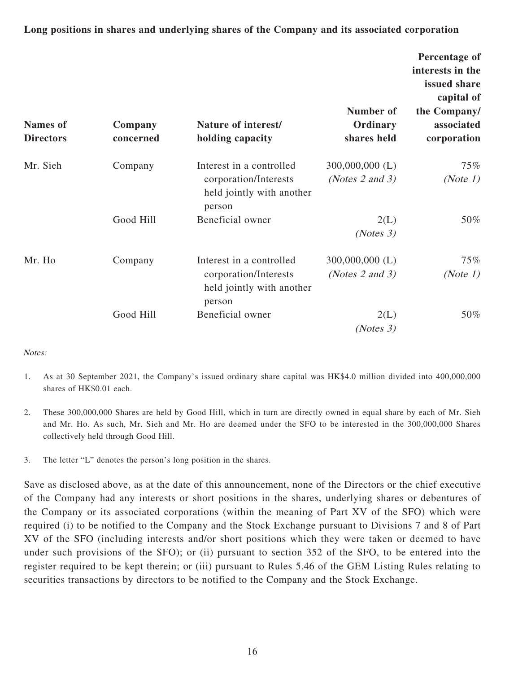**Long positions in shares and underlying shares of the Company and its associated corporation**

| <b>Names</b> of<br><b>Directors</b> | Company<br>concerned | Nature of interest/<br>holding capacity                                                  | Number of<br>Ordinary<br>shares held | Percentage of<br>interests in the<br>issued share<br>capital of<br>the Company/<br>associated<br>corporation |
|-------------------------------------|----------------------|------------------------------------------------------------------------------------------|--------------------------------------|--------------------------------------------------------------------------------------------------------------|
| Mr. Sieh                            | Company              | Interest in a controlled<br>corporation/Interests<br>held jointly with another<br>person | $300,000,000$ (L)<br>(Notes 2 and 3) | 75%<br>(Note 1)                                                                                              |
|                                     | Good Hill            | Beneficial owner                                                                         | 2(L)<br>(Notes 3)                    | 50%                                                                                                          |
| Mr. Ho                              | Company              | Interest in a controlled<br>corporation/Interests<br>held jointly with another<br>person | $300,000,000$ (L)<br>(Notes 2 and 3) | 75%<br>(Note $1$ )                                                                                           |
|                                     | Good Hill            | Beneficial owner                                                                         | 2(L)<br>(Notes 3)                    | 50%                                                                                                          |

#### Notes:

- 1. As at 30 September 2021, the Company's issued ordinary share capital was HK\$4.0 million divided into 400,000,000 shares of HK\$0.01 each.
- 2. These 300,000,000 Shares are held by Good Hill, which in turn are directly owned in equal share by each of Mr. Sieh and Mr. Ho. As such, Mr. Sieh and Mr. Ho are deemed under the SFO to be interested in the 300,000,000 Shares collectively held through Good Hill.
- 3. The letter "L" denotes the person's long position in the shares.

Save as disclosed above, as at the date of this announcement, none of the Directors or the chief executive of the Company had any interests or short positions in the shares, underlying shares or debentures of the Company or its associated corporations (within the meaning of Part XV of the SFO) which were required (i) to be notified to the Company and the Stock Exchange pursuant to Divisions 7 and 8 of Part XV of the SFO (including interests and/or short positions which they were taken or deemed to have under such provisions of the SFO); or (ii) pursuant to section 352 of the SFO, to be entered into the register required to be kept therein; or (iii) pursuant to Rules 5.46 of the GEM Listing Rules relating to securities transactions by directors to be notified to the Company and the Stock Exchange.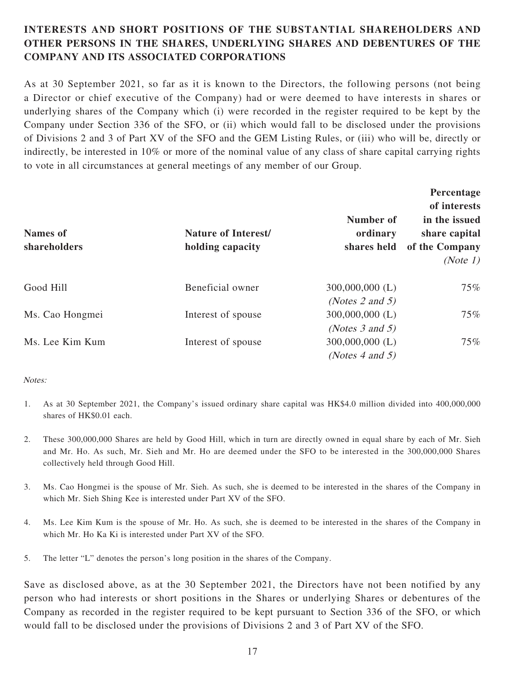# **INTERESTS AND SHORT POSITIONS OF THE SUBSTANTIAL SHAREHOLDERS AND OTHER PERSONS IN THE SHARES, UNDERLYING SHARES AND DEBENTURES OF THE COMPANY AND ITS ASSOCIATED CORPORATIONS**

As at 30 September 2021, so far as it is known to the Directors, the following persons (not being a Director or chief executive of the Company) had or were deemed to have interests in shares or underlying shares of the Company which (i) were recorded in the register required to be kept by the Company under Section 336 of the SFO, or (ii) which would fall to be disclosed under the provisions of Divisions 2 and 3 of Part XV of the SFO and the GEM Listing Rules, or (iii) who will be, directly or indirectly, be interested in 10% or more of the nominal value of any class of share capital carrying rights to vote in all circumstances at general meetings of any member of our Group.

| <b>Names of</b><br>shareholders | <b>Nature of Interest/</b><br>holding capacity | Number of<br>ordinary<br>shares held | Percentage<br>of interests<br>in the issued<br>share capital<br>of the Company<br>(Note 1) |
|---------------------------------|------------------------------------------------|--------------------------------------|--------------------------------------------------------------------------------------------|
| Good Hill                       | Beneficial owner                               | $300,000,000$ (L)                    | $75\%$                                                                                     |
|                                 |                                                | (Notes 2 and 5)                      |                                                                                            |
| Ms. Cao Hongmei                 | Interest of spouse                             | $300,000,000$ (L)                    | 75%                                                                                        |
|                                 |                                                | (Notes $3$ and $5$ )                 |                                                                                            |
| Ms. Lee Kim Kum                 | Interest of spouse                             | $300,000,000$ (L)                    | $75\%$                                                                                     |
|                                 |                                                | (Notes 4 and 5)                      |                                                                                            |

#### Notes:

- 1. As at 30 September 2021, the Company's issued ordinary share capital was HK\$4.0 million divided into 400,000,000 shares of HK\$0.01 each.
- 2. These 300,000,000 Shares are held by Good Hill, which in turn are directly owned in equal share by each of Mr. Sieh and Mr. Ho. As such, Mr. Sieh and Mr. Ho are deemed under the SFO to be interested in the 300,000,000 Shares collectively held through Good Hill.
- 3. Ms. Cao Hongmei is the spouse of Mr. Sieh. As such, she is deemed to be interested in the shares of the Company in which Mr. Sieh Shing Kee is interested under Part XV of the SFO.
- 4. Ms. Lee Kim Kum is the spouse of Mr. Ho. As such, she is deemed to be interested in the shares of the Company in which Mr. Ho Ka Ki is interested under Part XV of the SFO.
- 5. The letter "L" denotes the person's long position in the shares of the Company.

Save as disclosed above, as at the 30 September 2021, the Directors have not been notified by any person who had interests or short positions in the Shares or underlying Shares or debentures of the Company as recorded in the register required to be kept pursuant to Section 336 of the SFO, or which would fall to be disclosed under the provisions of Divisions 2 and 3 of Part XV of the SFO.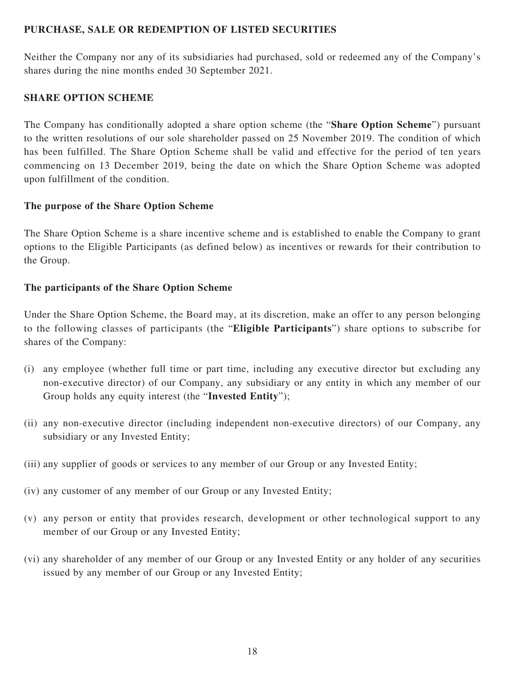### **PURCHASE, SALE OR REDEMPTION OF LISTED SECURITIES**

Neither the Company nor any of its subsidiaries had purchased, sold or redeemed any of the Company's shares during the nine months ended 30 September 2021.

#### **SHARE OPTION SCHEME**

The Company has conditionally adopted a share option scheme (the "**Share Option Scheme**") pursuant to the written resolutions of our sole shareholder passed on 25 November 2019. The condition of which has been fulfilled. The Share Option Scheme shall be valid and effective for the period of ten years commencing on 13 December 2019, being the date on which the Share Option Scheme was adopted upon fulfillment of the condition.

#### **The purpose of the Share Option Scheme**

The Share Option Scheme is a share incentive scheme and is established to enable the Company to grant options to the Eligible Participants (as defined below) as incentives or rewards for their contribution to the Group.

#### **The participants of the Share Option Scheme**

Under the Share Option Scheme, the Board may, at its discretion, make an offer to any person belonging to the following classes of participants (the "**Eligible Participants**") share options to subscribe for shares of the Company:

- (i) any employee (whether full time or part time, including any executive director but excluding any non-executive director) of our Company, any subsidiary or any entity in which any member of our Group holds any equity interest (the "**Invested Entity**");
- (ii) any non-executive director (including independent non-executive directors) of our Company, any subsidiary or any Invested Entity;
- (iii) any supplier of goods or services to any member of our Group or any Invested Entity;
- (iv) any customer of any member of our Group or any Invested Entity;
- (v) any person or entity that provides research, development or other technological support to any member of our Group or any Invested Entity;
- (vi) any shareholder of any member of our Group or any Invested Entity or any holder of any securities issued by any member of our Group or any Invested Entity;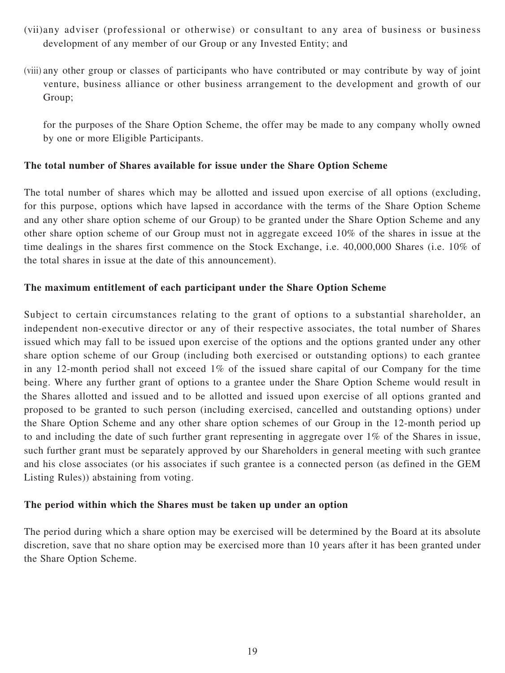- (vii) any adviser (professional or otherwise) or consultant to any area of business or business development of any member of our Group or any Invested Entity; and
- (viii) any other group or classes of participants who have contributed or may contribute by way of joint venture, business alliance or other business arrangement to the development and growth of our Group;

for the purposes of the Share Option Scheme, the offer may be made to any company wholly owned by one or more Eligible Participants.

#### **The total number of Shares available for issue under the Share Option Scheme**

The total number of shares which may be allotted and issued upon exercise of all options (excluding, for this purpose, options which have lapsed in accordance with the terms of the Share Option Scheme and any other share option scheme of our Group) to be granted under the Share Option Scheme and any other share option scheme of our Group must not in aggregate exceed 10% of the shares in issue at the time dealings in the shares first commence on the Stock Exchange, i.e. 40,000,000 Shares (i.e. 10% of the total shares in issue at the date of this announcement).

#### **The maximum entitlement of each participant under the Share Option Scheme**

Subject to certain circumstances relating to the grant of options to a substantial shareholder, an independent non-executive director or any of their respective associates, the total number of Shares issued which may fall to be issued upon exercise of the options and the options granted under any other share option scheme of our Group (including both exercised or outstanding options) to each grantee in any 12-month period shall not exceed 1% of the issued share capital of our Company for the time being. Where any further grant of options to a grantee under the Share Option Scheme would result in the Shares allotted and issued and to be allotted and issued upon exercise of all options granted and proposed to be granted to such person (including exercised, cancelled and outstanding options) under the Share Option Scheme and any other share option schemes of our Group in the 12-month period up to and including the date of such further grant representing in aggregate over 1% of the Shares in issue, such further grant must be separately approved by our Shareholders in general meeting with such grantee and his close associates (or his associates if such grantee is a connected person (as defined in the GEM Listing Rules)) abstaining from voting.

#### **The period within which the Shares must be taken up under an option**

The period during which a share option may be exercised will be determined by the Board at its absolute discretion, save that no share option may be exercised more than 10 years after it has been granted under the Share Option Scheme.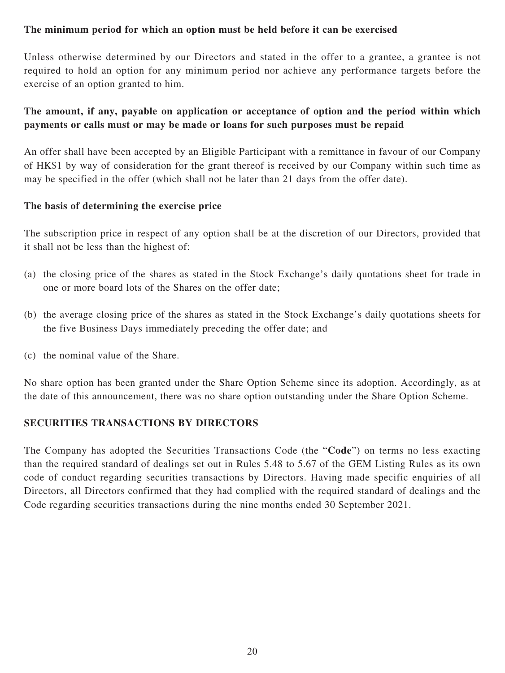### **The minimum period for which an option must be held before it can be exercised**

Unless otherwise determined by our Directors and stated in the offer to a grantee, a grantee is not required to hold an option for any minimum period nor achieve any performance targets before the exercise of an option granted to him.

# **The amount, if any, payable on application or acceptance of option and the period within which payments or calls must or may be made or loans for such purposes must be repaid**

An offer shall have been accepted by an Eligible Participant with a remittance in favour of our Company of HK\$1 by way of consideration for the grant thereof is received by our Company within such time as may be specified in the offer (which shall not be later than 21 days from the offer date).

#### **The basis of determining the exercise price**

The subscription price in respect of any option shall be at the discretion of our Directors, provided that it shall not be less than the highest of:

- (a) the closing price of the shares as stated in the Stock Exchange's daily quotations sheet for trade in one or more board lots of the Shares on the offer date;
- (b) the average closing price of the shares as stated in the Stock Exchange's daily quotations sheets for the five Business Days immediately preceding the offer date; and
- (c) the nominal value of the Share.

No share option has been granted under the Share Option Scheme since its adoption. Accordingly, as at the date of this announcement, there was no share option outstanding under the Share Option Scheme.

#### **SECURITIES TRANSACTIONS BY DIRECTORS**

The Company has adopted the Securities Transactions Code (the "**Code**") on terms no less exacting than the required standard of dealings set out in Rules 5.48 to 5.67 of the GEM Listing Rules as its own code of conduct regarding securities transactions by Directors. Having made specific enquiries of all Directors, all Directors confirmed that they had complied with the required standard of dealings and the Code regarding securities transactions during the nine months ended 30 September 2021.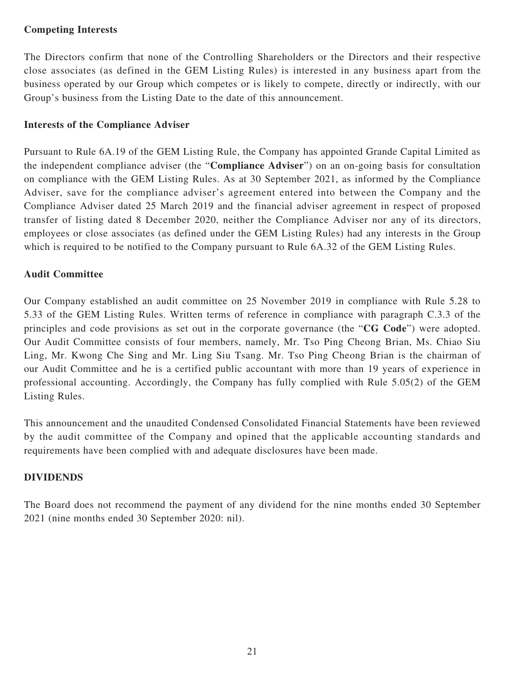### **Competing Interests**

The Directors confirm that none of the Controlling Shareholders or the Directors and their respective close associates (as defined in the GEM Listing Rules) is interested in any business apart from the business operated by our Group which competes or is likely to compete, directly or indirectly, with our Group's business from the Listing Date to the date of this announcement.

### **Interests of the Compliance Adviser**

Pursuant to Rule 6A.19 of the GEM Listing Rule, the Company has appointed Grande Capital Limited as the independent compliance adviser (the "**Compliance Adviser**") on an on-going basis for consultation on compliance with the GEM Listing Rules. As at 30 September 2021, as informed by the Compliance Adviser, save for the compliance adviser's agreement entered into between the Company and the Compliance Adviser dated 25 March 2019 and the financial adviser agreement in respect of proposed transfer of listing dated 8 December 2020, neither the Compliance Adviser nor any of its directors, employees or close associates (as defined under the GEM Listing Rules) had any interests in the Group which is required to be notified to the Company pursuant to Rule 6A.32 of the GEM Listing Rules.

#### **Audit Committee**

Our Company established an audit committee on 25 November 2019 in compliance with Rule 5.28 to 5.33 of the GEM Listing Rules. Written terms of reference in compliance with paragraph C.3.3 of the principles and code provisions as set out in the corporate governance (the "**CG Code**") were adopted. Our Audit Committee consists of four members, namely, Mr. Tso Ping Cheong Brian, Ms. Chiao Siu Ling, Mr. Kwong Che Sing and Mr. Ling Siu Tsang. Mr. Tso Ping Cheong Brian is the chairman of our Audit Committee and he is a certified public accountant with more than 19 years of experience in professional accounting. Accordingly, the Company has fully complied with Rule 5.05(2) of the GEM Listing Rules.

This announcement and the unaudited Condensed Consolidated Financial Statements have been reviewed by the audit committee of the Company and opined that the applicable accounting standards and requirements have been complied with and adequate disclosures have been made.

#### **DIVIDENDS**

The Board does not recommend the payment of any dividend for the nine months ended 30 September 2021 (nine months ended 30 September 2020: nil).